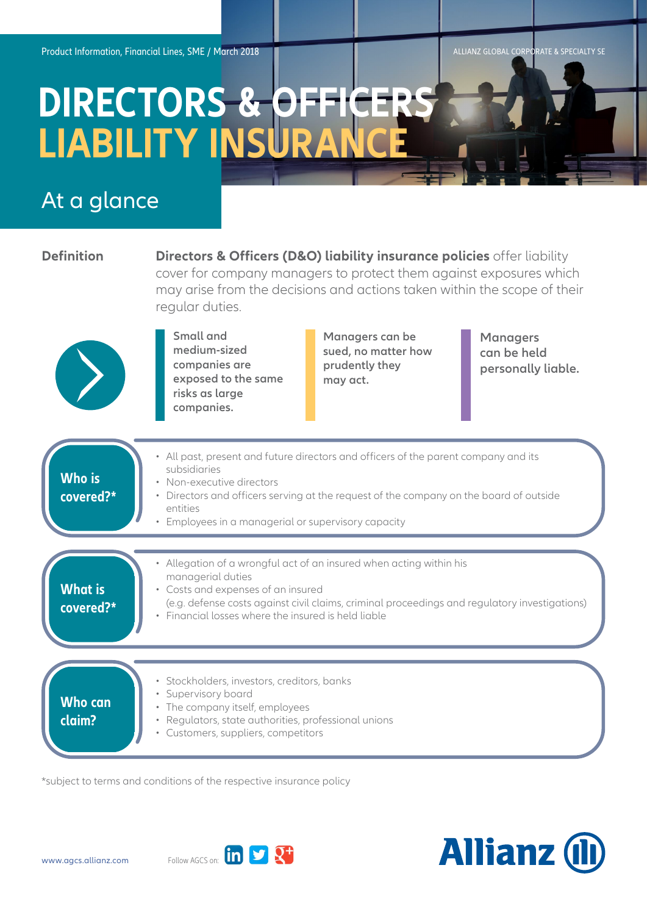ALLIANZ GLOBAL CORPORATE & SPECIALTY SE

## **DIRECTORS & OFFICERS LIABILITY INSURANCE**

## At a glance

| <b>Definition</b>           | <b>Directors &amp; Officers (D&amp;O) liability insurance policies</b> offer liability<br>cover for company managers to protect them against exposures which<br>may arise from the decisions and actions taken within the scope of their<br>regular duties.                                   |                                                                      |                                                      |
|-----------------------------|-----------------------------------------------------------------------------------------------------------------------------------------------------------------------------------------------------------------------------------------------------------------------------------------------|----------------------------------------------------------------------|------------------------------------------------------|
|                             | Small and<br>medium-sized<br>companies are<br>exposed to the same<br>risks as large<br>companies.                                                                                                                                                                                             | Managers can be<br>sued, no matter how<br>prudently they<br>may act. | <b>Managers</b><br>can be held<br>personally liable. |
| <b>Who is</b><br>covered?*  | • All past, present and future directors and officers of the parent company and its<br>subsidiaries<br>• Non-executive directors<br>• Directors and officers serving at the request of the company on the board of outside<br>entities<br>• Employees in a managerial or supervisory capacity |                                                                      |                                                      |
| <b>What is</b><br>covered?* | • Allegation of a wrongful act of an insured when acting within his<br>managerial duties<br>• Costs and expenses of an insured<br>(e.g. defense costs against civil claims, criminal proceedings and regulatory investigations)<br>• Financial losses where the insured is held liable        |                                                                      |                                                      |
| <b>Who can</b><br>claim?    | · Stockholders, investors, creditors, banks<br>· Supervisory board<br>• The company itself, employees<br>Regulators, state authorities, professional unions<br>$\bullet$<br>• Customers, suppliers, competitors                                                                               |                                                                      |                                                      |

\*subject to terms and conditions of the respective insurance policy